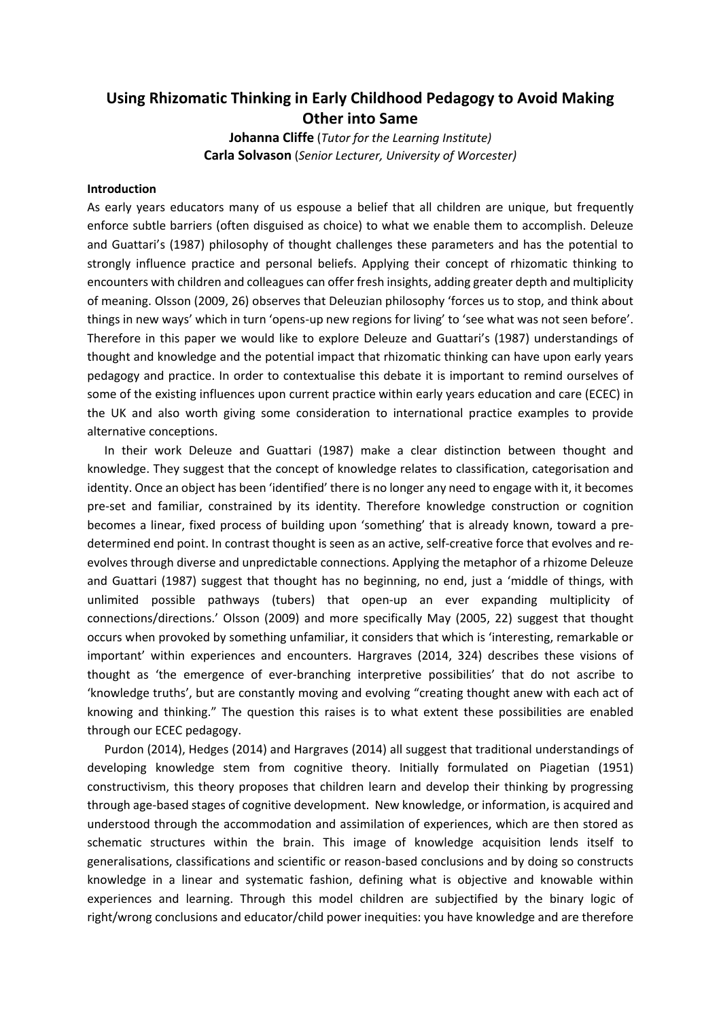## **Using Rhizomatic Thinking in Early Childhood Pedagogy to Avoid Making Other into Same**

**Johanna Cliffe** (*Tutor for the Learning Institute)* **Carla Solvason** (*Senior Lecturer, University of Worcester)*

## **Introduction**

As early years educators many of us espouse a belief that all children are unique, but frequently enforce subtle barriers (often disguised as choice) to what we enable them to accomplish. Deleuze and Guattari's (1987) philosophy of thought challenges these parameters and has the potential to strongly influence practice and personal beliefs. Applying their concept of rhizomatic thinking to encounters with children and colleagues can offer fresh insights, adding greater depth and multiplicity of meaning. Olsson (2009, 26) observes that Deleuzian philosophy 'forces us to stop, and think about things in new ways' which in turn 'opens-up new regions for living' to 'see what was not seen before'. Therefore in this paper we would like to explore Deleuze and Guattari's (1987) understandings of thought and knowledge and the potential impact that rhizomatic thinking can have upon early years pedagogy and practice. In order to contextualise this debate it is important to remind ourselves of some of the existing influences upon current practice within early years education and care (ECEC) in the UK and also worth giving some consideration to international practice examples to provide alternative conceptions.

In their work Deleuze and Guattari (1987) make a clear distinction between thought and knowledge. They suggest that the concept of knowledge relates to classification, categorisation and identity. Once an object has been 'identified' there is no longer any need to engage with it, it becomes pre-set and familiar, constrained by its identity. Therefore knowledge construction or cognition becomes a linear, fixed process of building upon 'something' that is already known, toward a predetermined end point. In contrast thought is seen as an active, self-creative force that evolves and reevolves through diverse and unpredictable connections. Applying the metaphor of a rhizome Deleuze and Guattari (1987) suggest that thought has no beginning, no end, just a 'middle of things, with unlimited possible pathways (tubers) that open-up an ever expanding multiplicity of connections/directions.' Olsson (2009) and more specifically May (2005, 22) suggest that thought occurs when provoked by something unfamiliar, it considers that which is 'interesting, remarkable or important' within experiences and encounters. Hargraves (2014, 324) describes these visions of thought as 'the emergence of ever-branching interpretive possibilities' that do not ascribe to 'knowledge truths', but are constantly moving and evolving "creating thought anew with each act of knowing and thinking." The question this raises is to what extent these possibilities are enabled through our ECEC pedagogy.

Purdon (2014), Hedges (2014) and Hargraves (2014) all suggest that traditional understandings of developing knowledge stem from cognitive theory. Initially formulated on Piagetian (1951) constructivism, this theory proposes that children learn and develop their thinking by progressing through age-based stages of cognitive development. New knowledge, or information, is acquired and understood through the accommodation and assimilation of experiences, which are then stored as schematic structures within the brain. This image of knowledge acquisition lends itself to generalisations, classifications and scientific or reason-based conclusions and by doing so constructs knowledge in a linear and systematic fashion, defining what is objective and knowable within experiences and learning. Through this model children are subjectified by the binary logic of right/wrong conclusions and educator/child power inequities: you have knowledge and are therefore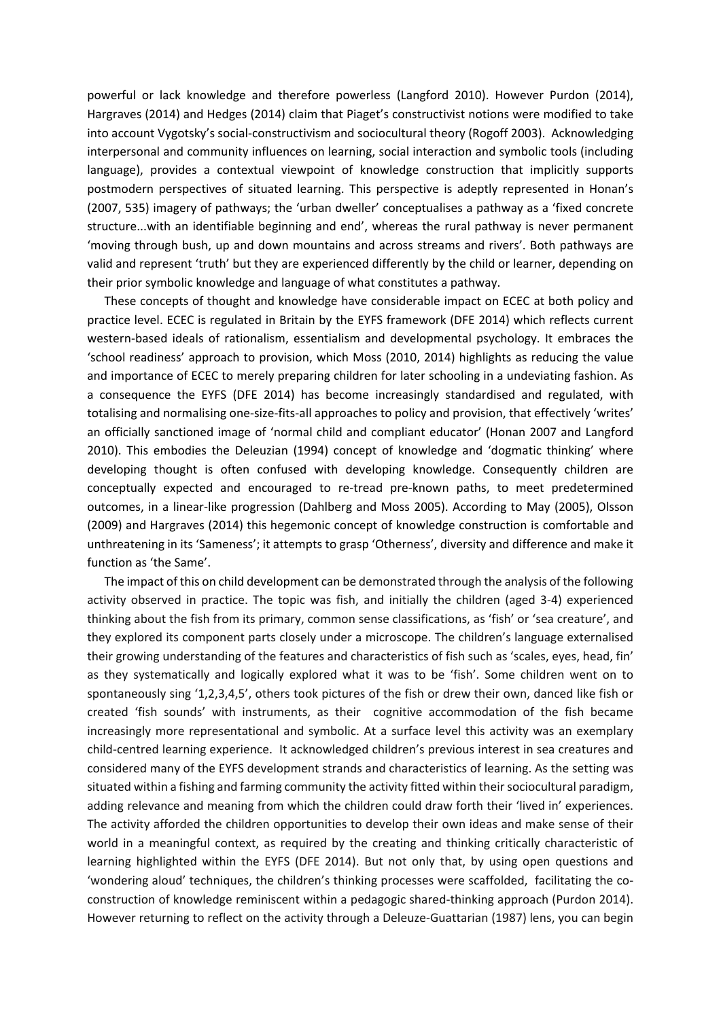powerful or lack knowledge and therefore powerless (Langford 2010). However Purdon (2014), Hargraves (2014) and Hedges (2014) claim that Piaget's constructivist notions were modified to take into account Vygotsky's social-constructivism and sociocultural theory (Rogoff 2003). Acknowledging interpersonal and community influences on learning, social interaction and symbolic tools (including language), provides a contextual viewpoint of knowledge construction that implicitly supports postmodern perspectives of situated learning. This perspective is adeptly represented in Honan's (2007, 535) imagery of pathways; the 'urban dweller' conceptualises a pathway as a 'fixed concrete structure...with an identifiable beginning and end', whereas the rural pathway is never permanent 'moving through bush, up and down mountains and across streams and rivers'. Both pathways are valid and represent 'truth' but they are experienced differently by the child or learner, depending on their prior symbolic knowledge and language of what constitutes a pathway.

These concepts of thought and knowledge have considerable impact on ECEC at both policy and practice level. ECEC is regulated in Britain by the EYFS framework (DFE 2014) which reflects current western-based ideals of rationalism, essentialism and developmental psychology. It embraces the 'school readiness' approach to provision, which Moss (2010, 2014) highlights as reducing the value and importance of ECEC to merely preparing children for later schooling in a undeviating fashion. As a consequence the EYFS (DFE 2014) has become increasingly standardised and regulated, with totalising and normalising one-size-fits-all approaches to policy and provision, that effectively 'writes' an officially sanctioned image of 'normal child and compliant educator' (Honan 2007 and Langford 2010). This embodies the Deleuzian (1994) concept of knowledge and 'dogmatic thinking' where developing thought is often confused with developing knowledge. Consequently children are conceptually expected and encouraged to re-tread pre-known paths, to meet predetermined outcomes, in a linear-like progression (Dahlberg and Moss 2005). According to May (2005), Olsson (2009) and Hargraves (2014) this hegemonic concept of knowledge construction is comfortable and unthreatening in its 'Sameness'; it attempts to grasp 'Otherness', diversity and difference and make it function as 'the Same'.

The impact of this on child development can be demonstrated through the analysis of the following activity observed in practice. The topic was fish, and initially the children (aged 3-4) experienced thinking about the fish from its primary, common sense classifications, as 'fish' or 'sea creature', and they explored its component parts closely under a microscope. The children's language externalised their growing understanding of the features and characteristics of fish such as 'scales, eyes, head, fin' as they systematically and logically explored what it was to be 'fish'. Some children went on to spontaneously sing '1,2,3,4,5', others took pictures of the fish or drew their own, danced like fish or created 'fish sounds' with instruments, as their cognitive accommodation of the fish became increasingly more representational and symbolic. At a surface level this activity was an exemplary child-centred learning experience. It acknowledged children's previous interest in sea creatures and considered many of the EYFS development strands and characteristics of learning. As the setting was situated within a fishing and farming community the activity fitted within their sociocultural paradigm, adding relevance and meaning from which the children could draw forth their 'lived in' experiences. The activity afforded the children opportunities to develop their own ideas and make sense of their world in a meaningful context, as required by the creating and thinking critically characteristic of learning highlighted within the EYFS (DFE 2014). But not only that, by using open questions and 'wondering aloud' techniques, the children's thinking processes were scaffolded, facilitating the coconstruction of knowledge reminiscent within a pedagogic shared-thinking approach (Purdon 2014). However returning to reflect on the activity through a Deleuze-Guattarian (1987) lens, you can begin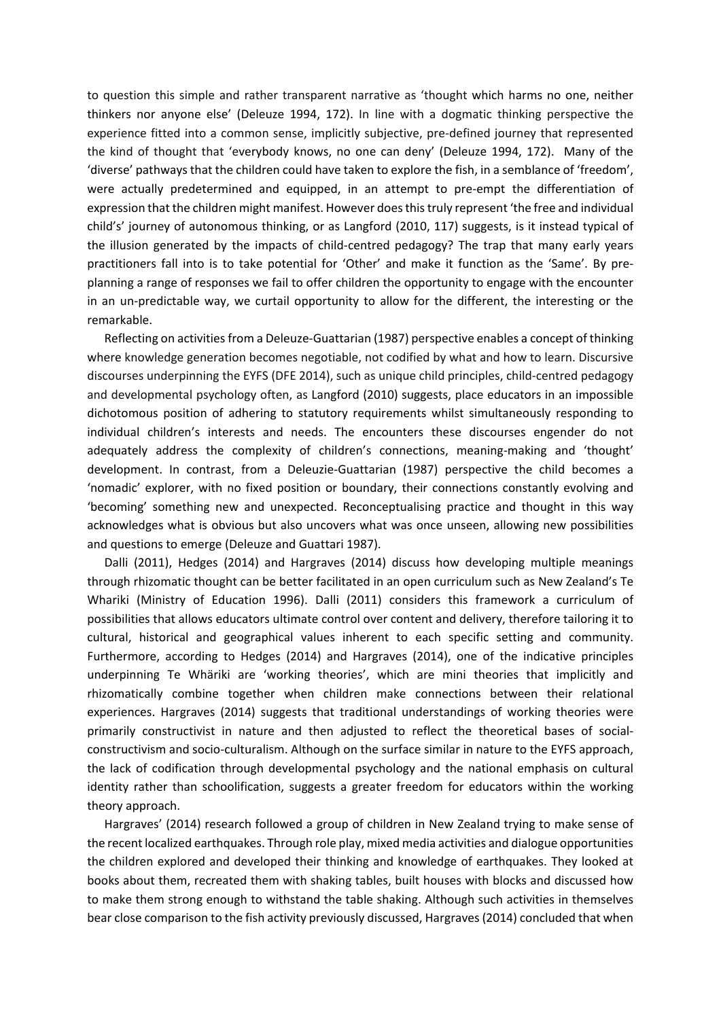to question this simple and rather transparent narrative as 'thought which harms no one, neither thinkers nor anyone else' (Deleuze 1994, 172). In line with a dogmatic thinking perspective the experience fitted into a common sense, implicitly subjective, pre-defined journey that represented the kind of thought that 'everybody knows, no one can deny' (Deleuze 1994, 172). Many of the 'diverse' pathways that the children could have taken to explore the fish, in a semblance of 'freedom', were actually predetermined and equipped, in an attempt to pre-empt the differentiation of expression that the children might manifest. However does this truly represent 'the free and individual child's' journey of autonomous thinking, or as Langford (2010, 117) suggests, is it instead typical of the illusion generated by the impacts of child-centred pedagogy? The trap that many early years practitioners fall into is to take potential for 'Other' and make it function as the 'Same'. By preplanning a range of responses we fail to offer children the opportunity to engage with the encounter in an un-predictable way, we curtail opportunity to allow for the different, the interesting or the remarkable.

Reflecting on activities from a Deleuze-Guattarian (1987) perspective enables a concept of thinking where knowledge generation becomes negotiable, not codified by what and how to learn. Discursive discourses underpinning the EYFS (DFE 2014), such as unique child principles, child-centred pedagogy and developmental psychology often, as Langford (2010) suggests, place educators in an impossible dichotomous position of adhering to statutory requirements whilst simultaneously responding to individual children's interests and needs. The encounters these discourses engender do not adequately address the complexity of children's connections, meaning-making and 'thought' development. In contrast, from a Deleuzie-Guattarian (1987) perspective the child becomes a 'nomadic' explorer, with no fixed position or boundary, their connections constantly evolving and 'becoming' something new and unexpected. Reconceptualising practice and thought in this way acknowledges what is obvious but also uncovers what was once unseen, allowing new possibilities and questions to emerge (Deleuze and Guattari 1987).

Dalli (2011), Hedges (2014) and Hargraves (2014) discuss how developing multiple meanings through rhizomatic thought can be better facilitated in an open curriculum such as New Zealand's Te Whariki (Ministry of Education 1996). Dalli (2011) considers this framework a curriculum of possibilities that allows educators ultimate control over content and delivery, therefore tailoring it to cultural, historical and geographical values inherent to each specific setting and community. Furthermore, according to Hedges (2014) and Hargraves (2014), one of the indicative principles underpinning Te Whäriki are 'working theories', which are mini theories that implicitly and rhizomatically combine together when children make connections between their relational experiences. Hargraves (2014) suggests that traditional understandings of working theories were primarily constructivist in nature and then adjusted to reflect the theoretical bases of socialconstructivism and socio-culturalism. Although on the surface similar in nature to the EYFS approach, the lack of codification through developmental psychology and the national emphasis on cultural identity rather than schoolification, suggests a greater freedom for educators within the working theory approach.

Hargraves' (2014) research followed a group of children in New Zealand trying to make sense of the recent localized earthquakes. Through role play, mixed media activities and dialogue opportunities the children explored and developed their thinking and knowledge of earthquakes. They looked at books about them, recreated them with shaking tables, built houses with blocks and discussed how to make them strong enough to withstand the table shaking. Although such activities in themselves bear close comparison to the fish activity previously discussed, Hargraves (2014) concluded that when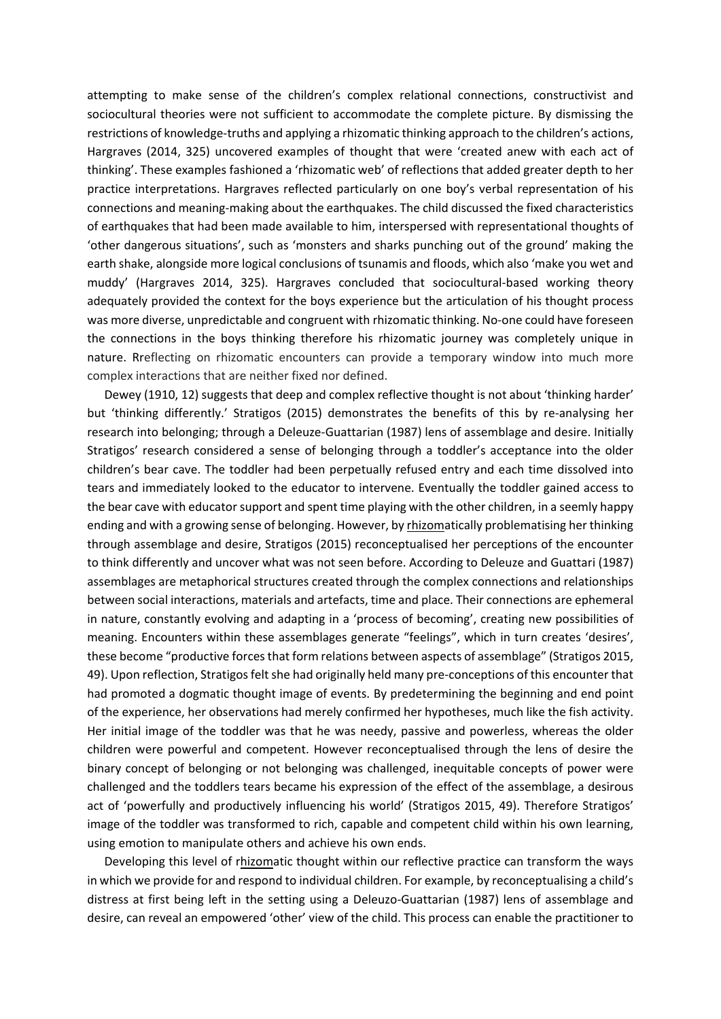attempting to make sense of the children's complex relational connections, constructivist and sociocultural theories were not sufficient to accommodate the complete picture. By dismissing the restrictions of knowledge-truths and applying a rhizomatic thinking approach to the children's actions, Hargraves (2014, 325) uncovered examples of thought that were 'created anew with each act of thinking'. These examples fashioned a 'rhizomatic web' of reflections that added greater depth to her practice interpretations. Hargraves reflected particularly on one boy's verbal representation of his connections and meaning-making about the earthquakes. The child discussed the fixed characteristics of earthquakes that had been made available to him, interspersed with representational thoughts of 'other dangerous situations', such as 'monsters and sharks punching out of the ground' making the earth shake, alongside more logical conclusions of tsunamis and floods, which also 'make you wet and muddy' (Hargraves 2014, 325). Hargraves concluded that sociocultural-based working theory adequately provided the context for the boys experience but the articulation of his thought process was more diverse, unpredictable and congruent with rhizomatic thinking. No-one could have foreseen the connections in the boys thinking therefore his rhizomatic journey was completely unique in nature. Rreflecting on rhizomatic encounters can provide a temporary window into much more complex interactions that are neither fixed nor defined.

Dewey (1910, 12) suggests that deep and complex reflective thought is not about 'thinking harder' but 'thinking differently.' Stratigos (2015) demonstrates the benefits of this by re-analysing her research into belonging; through a Deleuze-Guattarian (1987) lens of assemblage and desire. Initially Stratigos' research considered a sense of belonging through a toddler's acceptance into the older children's bear cave. The toddler had been perpetually refused entry and each time dissolved into tears and immediately looked to the educator to intervene. Eventually the toddler gained access to the bear cave with educator support and spent time playing with the other children, in a seemly happy ending and with a growing sense of belonging. However, by rhizomatically problematising her thinking through assemblage and desire, Stratigos (2015) reconceptualised her perceptions of the encounter to think differently and uncover what was not seen before. According to Deleuze and Guattari (1987) assemblages are metaphorical structures created through the complex connections and relationships between social interactions, materials and artefacts, time and place. Their connections are ephemeral in nature, constantly evolving and adapting in a 'process of becoming', creating new possibilities of meaning. Encounters within these assemblages generate "feelings", which in turn creates 'desires', these become "productive forces that form relations between aspects of assemblage" (Stratigos 2015, 49). Upon reflection, Stratigos felt she had originally held many pre-conceptions of this encounter that had promoted a dogmatic thought image of events. By predetermining the beginning and end point of the experience, her observations had merely confirmed her hypotheses, much like the fish activity. Her initial image of the toddler was that he was needy, passive and powerless, whereas the older children were powerful and competent. However reconceptualised through the lens of desire the binary concept of belonging or not belonging was challenged, inequitable concepts of power were challenged and the toddlers tears became his expression of the effect of the assemblage, a desirous act of 'powerfully and productively influencing his world' (Stratigos 2015, 49). Therefore Stratigos' image of the toddler was transformed to rich, capable and competent child within his own learning, using emotion to manipulate others and achieve his own ends.

Developing this level of rhizomatic thought within our reflective practice can transform the ways in which we provide for and respond to individual children. For example, by reconceptualising a child's distress at first being left in the setting using a Deleuzo-Guattarian (1987) lens of assemblage and desire, can reveal an empowered 'other' view of the child. This process can enable the practitioner to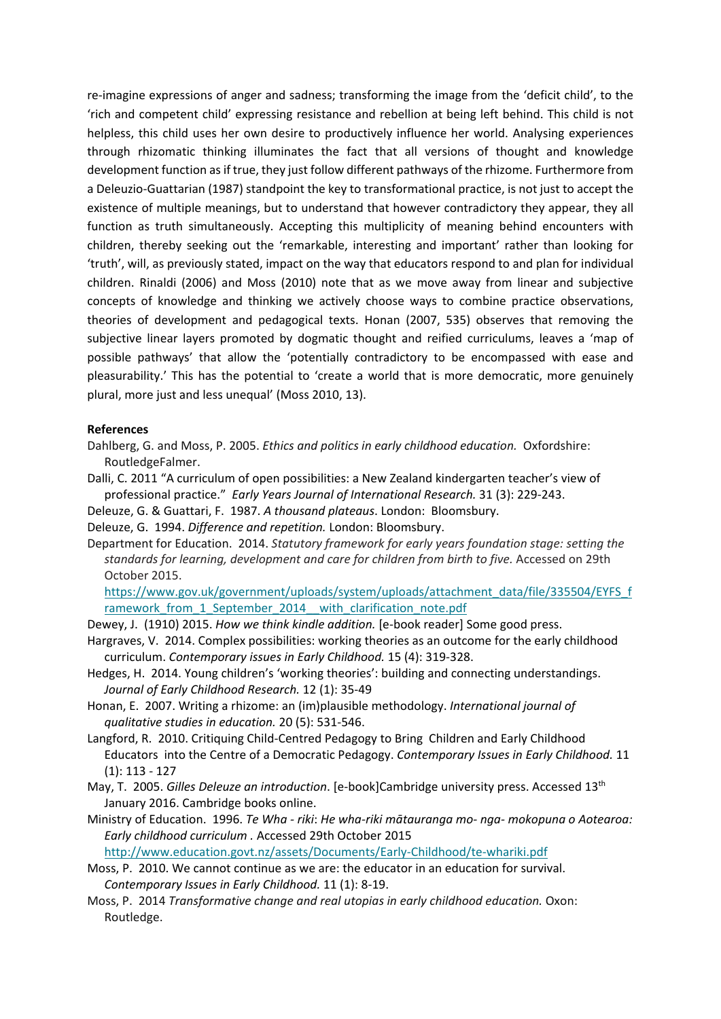re-imagine expressions of anger and sadness; transforming the image from the 'deficit child', to the 'rich and competent child' expressing resistance and rebellion at being left behind. This child is not helpless, this child uses her own desire to productively influence her world. Analysing experiences through rhizomatic thinking illuminates the fact that all versions of thought and knowledge development function as if true, they just follow different pathways of the rhizome. Furthermore from a Deleuzio-Guattarian (1987) standpoint the key to transformational practice, is not just to accept the existence of multiple meanings, but to understand that however contradictory they appear, they all function as truth simultaneously. Accepting this multiplicity of meaning behind encounters with children, thereby seeking out the 'remarkable, interesting and important' rather than looking for 'truth', will, as previously stated, impact on the way that educators respond to and plan for individual children. Rinaldi (2006) and Moss (2010) note that as we move away from linear and subjective concepts of knowledge and thinking we actively choose ways to combine practice observations, theories of development and pedagogical texts. Honan (2007, 535) observes that removing the subjective linear layers promoted by dogmatic thought and reified curriculums, leaves a 'map of possible pathways' that allow the 'potentially contradictory to be encompassed with ease and pleasurability.' This has the potential to 'create a world that is more democratic, more genuinely plural, more just and less unequal' (Moss 2010, 13).

## **References**

- Dahlberg, G. and Moss, P. 2005. *Ethics and politics in early childhood education.* Oxfordshire: RoutledgeFalmer.
- Dalli, C. 2011 "A curriculum of open possibilities: a New Zealand kindergarten teacher's view of professional practice." *Early Years Journal of International Research.* 31 (3): 229-243.
- Deleuze, G. & Guattari, F. 1987. *A thousand plateaus*. London: Bloomsbury.
- Deleuze, G. 1994. *Difference and repetition.* London: Bloomsbury.
- Department for Education. 2014. *Statutory framework for early years foundation stage: setting the standards for learning, development and care for children from birth to five.* Accessed on 29th October 2015.

[https://www.gov.uk/government/uploads/system/uploads/attachment\\_data/file/335504/EYFS\\_f](https://www.gov.uk/government/uploads/system/uploads/attachment_data/file/335504/EYFS_framework_from_1_September_2014__with_clarification_note.pdf) ramework from 1 September 2014 with clarification note.pdf

Dewey, J. (1910) 2015. *How we think kindle addition.* [e-book reader] Some good press.

- Hargraves, V. 2014. Complex possibilities: working theories as an outcome for the early childhood curriculum. *Contemporary issues in Early Childhood.* 15 (4): 319-328.
- Hedges, H. 2014. Young children's 'working theories': building and connecting understandings. *Journal of Early Childhood Research.* 12 (1): 35-49
- Honan, E. 2007. Writing a rhizome: an (im)plausible methodology. *International journal of qualitative studies in education.* 20 (5): 531-546.
- Langford, R. 2010. Critiquing Child-Centred Pedagogy to Bring Children and Early Childhood Educators into the Centre of a Democratic Pedagogy. *Contemporary Issues in Early Childhood.* 11 (1): 113 - 127
- May, T. 2005. *Gilles Deleuze an introduction*. [e-book]Cambridge university press. Accessed 13th January 2016. Cambridge books online.
- Ministry of Education. 1996. *Te Wha - riki*: *He wha-riki mātauranga mo- nga- mokopuna o Aotearoa: Early childhood curriculum .* Accessed 29th October 2015

<http://www.education.govt.nz/assets/Documents/Early-Childhood/te-whariki.pdf>

- Moss, P. 2010. We cannot continue as we are: the educator in an education for survival. *Contemporary Issues in Early Childhood.* 11 (1): 8-19.
- Moss, P. 2014 *Transformative change and real utopias in early childhood education.* Oxon: Routledge.